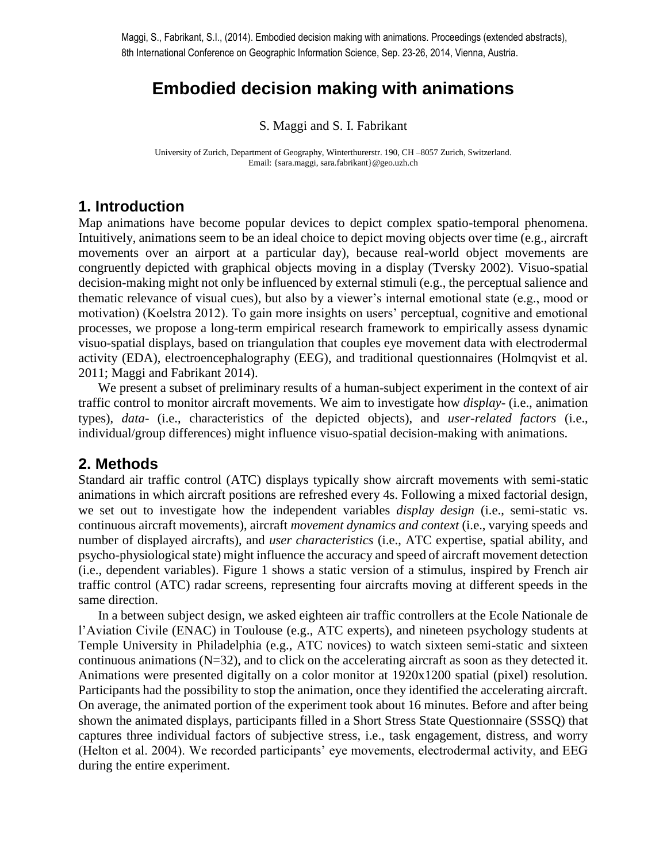Maggi, S., Fabrikant, S.I., (2014). Embodied decision making with animations. Proceedings (extended abstracts), 8th International Conference on Geographic Information Science, Sep. 23-26, 2014, Vienna, Austria.

# **Embodied decision making with animations**

S. Maggi and S. I. Fabrikant

University of Zurich, Department of Geography, Winterthurerstr. 190, CH –8057 Zurich, Switzerland. Email: {sara.maggi, sara.fabrikant}@geo.uzh.ch

#### **1. Introduction**

Map animations have become popular devices to depict complex spatio-temporal phenomena. Intuitively, animations seem to be an ideal choice to depict moving objects over time (e.g., aircraft movements over an airport at a particular day), because real-world object movements are congruently depicted with graphical objects moving in a display (Tversky 2002). Visuo-spatial decision-making might not only be influenced by external stimuli (e.g., the perceptual salience and thematic relevance of visual cues), but also by a viewer's internal emotional state (e.g., mood or motivation) (Koelstra 2012). To gain more insights on users' perceptual, cognitive and emotional processes, we propose a long-term empirical research framework to empirically assess dynamic visuo-spatial displays, based on triangulation that couples eye movement data with electrodermal activity (EDA), electroencephalography (EEG), and traditional questionnaires (Holmqvist et al. 2011; Maggi and Fabrikant 2014).

We present a subset of preliminary results of a human-subject experiment in the context of air traffic control to monitor aircraft movements. We aim to investigate how *display-* (i.e., animation types), *data-* (i.e., characteristics of the depicted objects), and *user-related factors* (i.e., individual/group differences) might influence visuo-spatial decision-making with animations.

#### **2. Methods**

Standard air traffic control (ATC) displays typically show aircraft movements with semi-static animations in which aircraft positions are refreshed every 4s. Following a mixed factorial design, we set out to investigate how the independent variables *display design* (i.e., semi-static vs. continuous aircraft movements), aircraft *movement dynamics and context* (i.e., varying speeds and number of displayed aircrafts), and *user characteristics* (i.e., ATC expertise, spatial ability, and psycho-physiological state) might influence the accuracy and speed of aircraft movement detection (i.e., dependent variables). Figure 1 shows a static version of a stimulus, inspired by French air traffic control (ATC) radar screens, representing four aircrafts moving at different speeds in the same direction.

In a between subject design, we asked eighteen air traffic controllers at the Ecole Nationale de l'Aviation Civile (ENAC) in Toulouse (e.g., ATC experts), and nineteen psychology students at Temple University in Philadelphia (e.g., ATC novices) to watch sixteen semi-static and sixteen continuous animations (N=32), and to click on the accelerating aircraft as soon as they detected it. Animations were presented digitally on a color monitor at 1920x1200 spatial (pixel) resolution. Participants had the possibility to stop the animation, once they identified the accelerating aircraft. On average, the animated portion of the experiment took about 16 minutes. Before and after being shown the animated displays, participants filled in a Short Stress State Questionnaire (SSSQ) that captures three individual factors of subjective stress, i.e., task engagement, distress, and worry (Helton et al. 2004). We recorded participants' eye movements, electrodermal activity, and EEG during the entire experiment.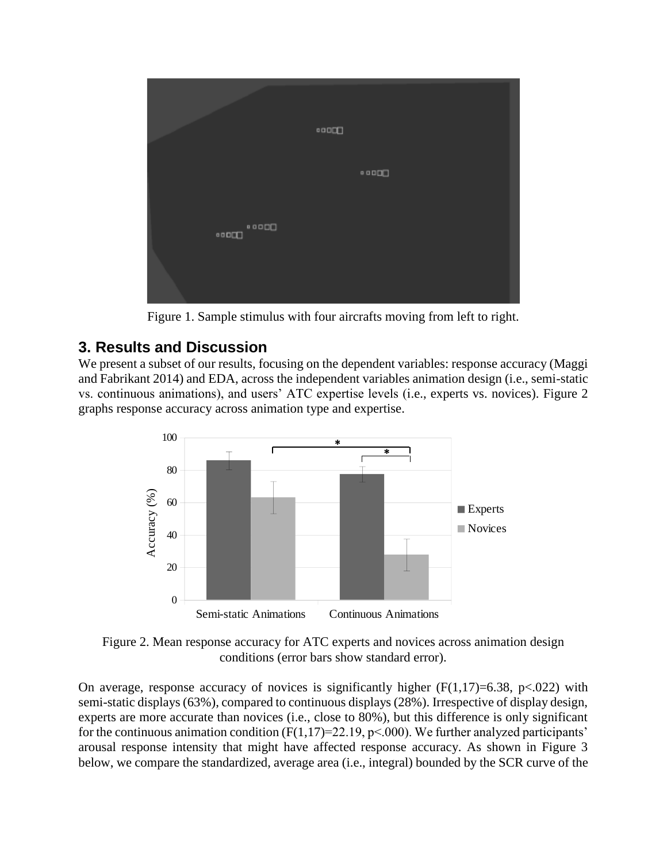

Figure 1. Sample stimulus with four aircrafts moving from left to right.

## **3. Results and Discussion**

We present a subset of our results, focusing on the dependent variables: response accuracy (Maggi and Fabrikant 2014) and EDA, across the independent variables animation design (i.e., semi-static vs. continuous animations), and users' ATC expertise levels (i.e., experts vs. novices). Figure 2 graphs response accuracy across animation type and expertise.



Figure 2. Mean response accuracy for ATC experts and novices across animation design conditions (error bars show standard error).

On average, response accuracy of novices is significantly higher  $(F(1,17)=6.38, p<.022)$  with semi-static displays (63%), compared to continuous displays (28%). Irrespective of display design, experts are more accurate than novices (i.e., close to 80%), but this difference is only significant for the continuous animation condition  $(F(1,17)=22.19, p<0.00)$ . We further analyzed participants' arousal response intensity that might have affected response accuracy. As shown in Figure 3 below, we compare the standardized, average area (i.e., integral) bounded by the SCR curve of the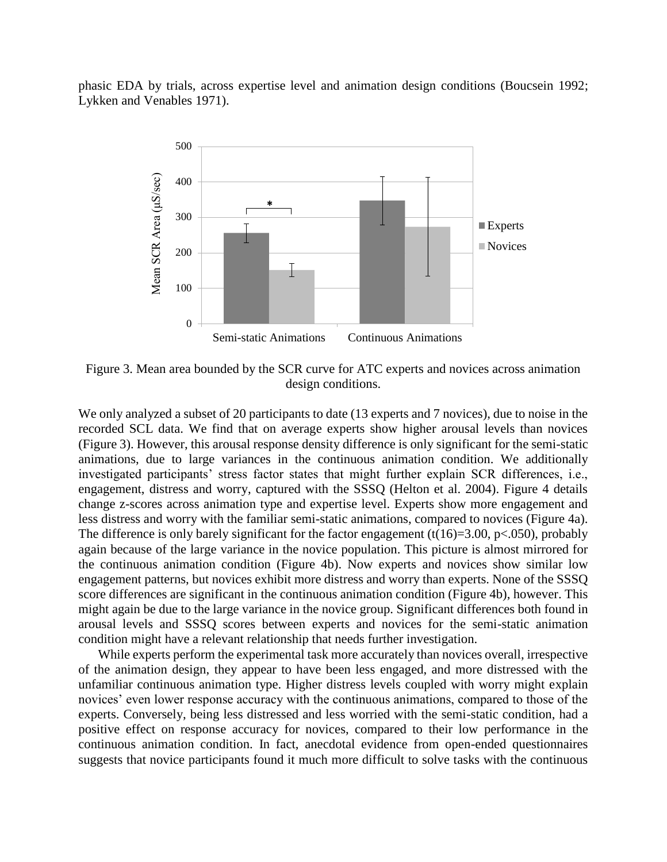phasic EDA by trials, across expertise level and animation design conditions (Boucsein 1992; Lykken and Venables 1971).



Figure 3. Mean area bounded by the SCR curve for ATC experts and novices across animation design conditions.

We only analyzed a subset of 20 participants to date (13 experts and 7 novices), due to noise in the recorded SCL data. We find that on average experts show higher arousal levels than novices (Figure 3). However, this arousal response density difference is only significant for the semi-static animations, due to large variances in the continuous animation condition. We additionally investigated participants' stress factor states that might further explain SCR differences, i.e., engagement, distress and worry, captured with the SSSQ (Helton et al. 2004). Figure 4 details change z-scores across animation type and expertise level. Experts show more engagement and less distress and worry with the familiar semi-static animations, compared to novices (Figure 4a). The difference is only barely significant for the factor engagement (t(16)=3.00, p<.050), probably again because of the large variance in the novice population. This picture is almost mirrored for the continuous animation condition (Figure 4b). Now experts and novices show similar low engagement patterns, but novices exhibit more distress and worry than experts. None of the SSSQ score differences are significant in the continuous animation condition (Figure 4b), however. This might again be due to the large variance in the novice group. Significant differences both found in arousal levels and SSSQ scores between experts and novices for the semi-static animation condition might have a relevant relationship that needs further investigation.

While experts perform the experimental task more accurately than novices overall, irrespective of the animation design, they appear to have been less engaged, and more distressed with the unfamiliar continuous animation type. Higher distress levels coupled with worry might explain novices' even lower response accuracy with the continuous animations, compared to those of the experts. Conversely, being less distressed and less worried with the semi-static condition, had a positive effect on response accuracy for novices, compared to their low performance in the continuous animation condition. In fact, anecdotal evidence from open-ended questionnaires suggests that novice participants found it much more difficult to solve tasks with the continuous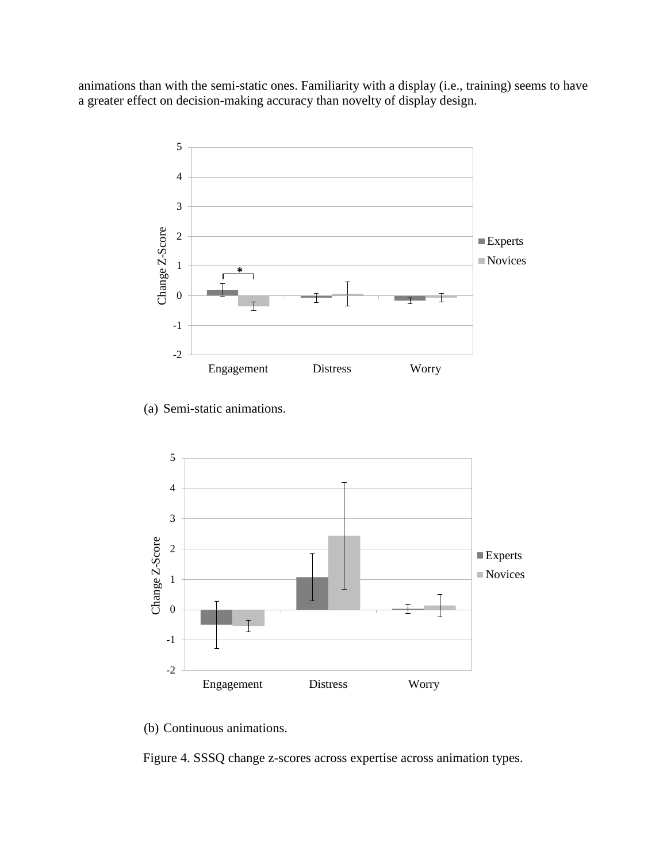animations than with the semi-static ones. Familiarity with a display (i.e., training) seems to have a greater effect on decision-making accuracy than novelty of display design.



(a) Semi-static animations.



(b) Continuous animations.